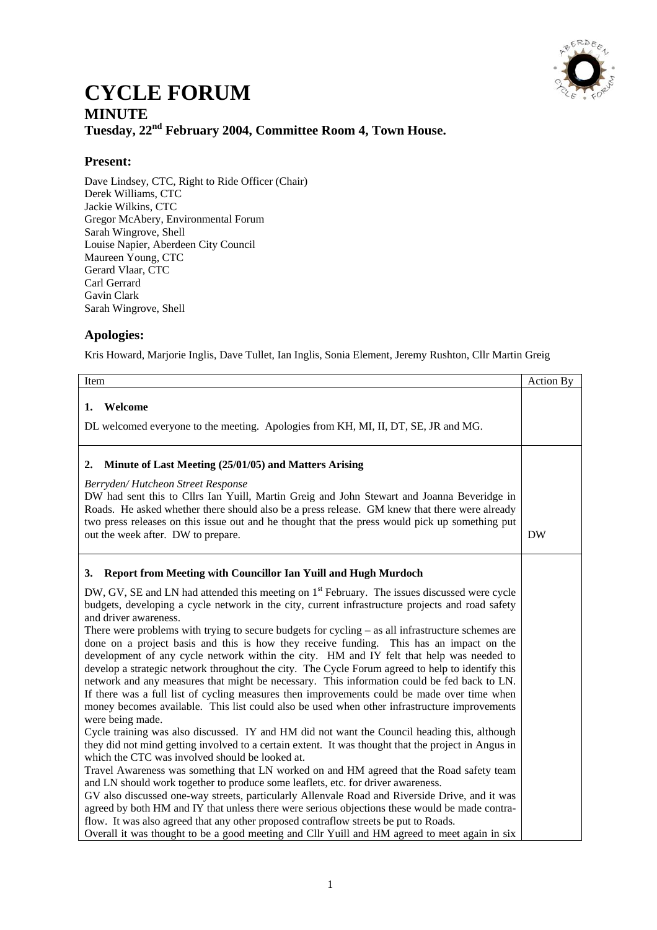

## **CYCLE FORUM MINUTE Tuesday, 22nd February 2004, Committee Room 4, Town House.**

## **Present:**

Dave Lindsey, CTC, Right to Ride Officer (Chair) Derek Williams, CTC Jackie Wilkins, CTC Gregor McAbery, Environmental Forum Sarah Wingrove, Shell Louise Napier, Aberdeen City Council Maureen Young, CTC Gerard Vlaar, CTC Carl Gerrard Gavin Clark Sarah Wingrove, Shell

## **Apologies:**

Kris Howard, Marjorie Inglis, Dave Tullet, Ian Inglis, Sonia Element, Jeremy Rushton, Cllr Martin Greig

| Item                                                                                                                                                                                                                                                                                                                                                                                                                                    | Action By |
|-----------------------------------------------------------------------------------------------------------------------------------------------------------------------------------------------------------------------------------------------------------------------------------------------------------------------------------------------------------------------------------------------------------------------------------------|-----------|
| 1. Welcome                                                                                                                                                                                                                                                                                                                                                                                                                              |           |
| DL welcomed everyone to the meeting. Apologies from KH, MI, II, DT, SE, JR and MG.                                                                                                                                                                                                                                                                                                                                                      |           |
| Minute of Last Meeting (25/01/05) and Matters Arising<br>2.                                                                                                                                                                                                                                                                                                                                                                             |           |
| Berryden/Hutcheon Street Response<br>DW had sent this to Cllrs Ian Yuill, Martin Greig and John Stewart and Joanna Beveridge in<br>Roads. He asked whether there should also be a press release. GM knew that there were already<br>two press releases on this issue out and he thought that the press would pick up something put<br>out the week after. DW to prepare.                                                                | <b>DW</b> |
| Report from Meeting with Councillor Ian Yuill and Hugh Murdoch<br>3.                                                                                                                                                                                                                                                                                                                                                                    |           |
| DW, GV, SE and LN had attended this meeting on 1 <sup>st</sup> February. The issues discussed were cycle<br>budgets, developing a cycle network in the city, current infrastructure projects and road safety<br>and driver awareness.<br>There were problems with trying to secure budgets for cycling $-$ as all infrastructure schemes are<br>done on a project basis and this is how they receive funding. This has an impact on the |           |
| development of any cycle network within the city. HM and IY felt that help was needed to<br>develop a strategic network throughout the city. The Cycle Forum agreed to help to identify this<br>network and any measures that might be necessary. This information could be fed back to LN.                                                                                                                                             |           |
| If there was a full list of cycling measures then improvements could be made over time when<br>money becomes available. This list could also be used when other infrastructure improvements<br>were being made.                                                                                                                                                                                                                         |           |
| Cycle training was also discussed. IY and HM did not want the Council heading this, although<br>they did not mind getting involved to a certain extent. It was thought that the project in Angus in<br>which the CTC was involved should be looked at.                                                                                                                                                                                  |           |
| Travel Awareness was something that LN worked on and HM agreed that the Road safety team<br>and LN should work together to produce some leaflets, etc. for driver awareness.<br>GV also discussed one-way streets, particularly Allenvale Road and Riverside Drive, and it was                                                                                                                                                          |           |
| agreed by both HM and IY that unless there were serious objections these would be made contra-<br>flow. It was also agreed that any other proposed contraflow streets be put to Roads.<br>Overall it was thought to be a good meeting and Cllr Yuill and HM agreed to meet again in six                                                                                                                                                 |           |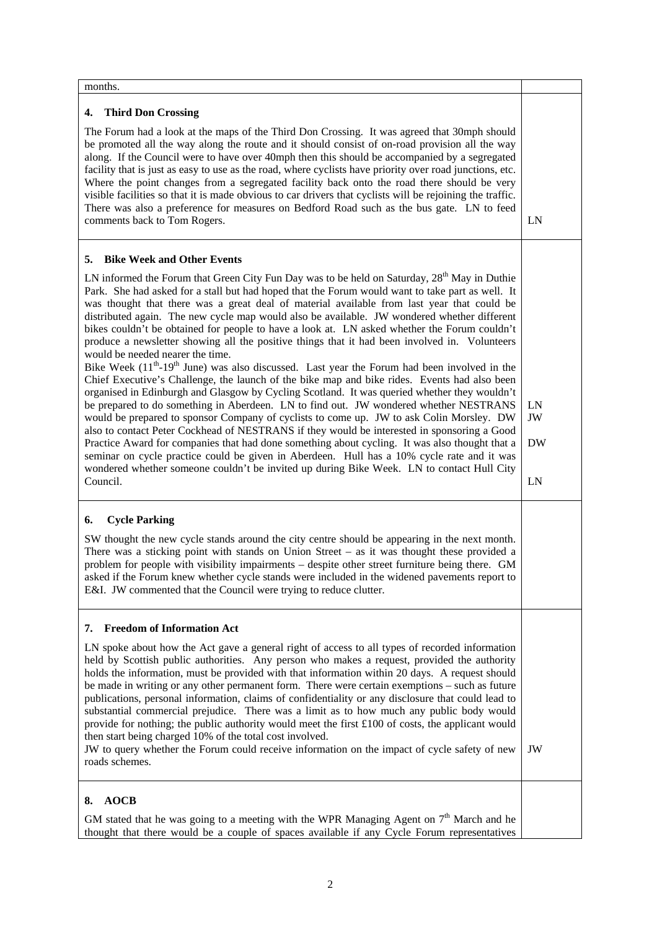months.

## **4. Third Don Crossing**

The Forum had a look at the maps of the Third Don Crossing. It was agreed that 30mph should be promoted all the way along the route and it should consist of on-road provision all the way along. If the Council were to have over 40mph then this should be accompanied by a segregated facility that is just as easy to use as the road, where cyclists have priority over road junctions, etc. Where the point changes from a segregated facility back onto the road there should be very visible facilities so that it is made obvious to car drivers that cyclists will be rejoining the traffic. There was also a preference for measures on Bedford Road such as the bus gate. LN to feed

| comments back to Tom Rogers.                                                                                                                                                                                                                                                                                                                                                                                                                                                                                                                                                                                                                                                                                                                                                                                                                                                                                                                                                                                                                                                                                                                                                                                                                                                                                                                                                                                                                                                                                                                                                                         | LN                          |
|------------------------------------------------------------------------------------------------------------------------------------------------------------------------------------------------------------------------------------------------------------------------------------------------------------------------------------------------------------------------------------------------------------------------------------------------------------------------------------------------------------------------------------------------------------------------------------------------------------------------------------------------------------------------------------------------------------------------------------------------------------------------------------------------------------------------------------------------------------------------------------------------------------------------------------------------------------------------------------------------------------------------------------------------------------------------------------------------------------------------------------------------------------------------------------------------------------------------------------------------------------------------------------------------------------------------------------------------------------------------------------------------------------------------------------------------------------------------------------------------------------------------------------------------------------------------------------------------------|-----------------------------|
| <b>Bike Week and Other Events</b><br>5.<br>LN informed the Forum that Green City Fun Day was to be held on Saturday, $28th$ May in Duthie<br>Park. She had asked for a stall but had hoped that the Forum would want to take part as well. It<br>was thought that there was a great deal of material available from last year that could be<br>distributed again. The new cycle map would also be available. JW wondered whether different<br>bikes couldn't be obtained for people to have a look at. LN asked whether the Forum couldn't<br>produce a newsletter showing all the positive things that it had been involved in. Volunteers<br>would be needed nearer the time.<br>Bike Week (11 <sup>th</sup> -19 <sup>th</sup> June) was also discussed. Last year the Forum had been involved in the<br>Chief Executive's Challenge, the launch of the bike map and bike rides. Events had also been<br>organised in Edinburgh and Glasgow by Cycling Scotland. It was queried whether they wouldn't<br>be prepared to do something in Aberdeen. LN to find out. JW wondered whether NESTRANS<br>would be prepared to sponsor Company of cyclists to come up. JW to ask Colin Morsley. DW<br>also to contact Peter Cockhead of NESTRANS if they would be interested in sponsoring a Good<br>Practice Award for companies that had done something about cycling. It was also thought that a<br>seminar on cycle practice could be given in Aberdeen. Hull has a 10% cycle rate and it was<br>wondered whether someone couldn't be invited up during Bike Week. LN to contact Hull City<br>Council. | LN<br>JW<br><b>DW</b><br>LN |
| <b>Cycle Parking</b><br>6.<br>SW thought the new cycle stands around the city centre should be appearing in the next month.<br>There was a sticking point with stands on Union Street – as it was thought these provided a<br>problem for people with visibility impairments - despite other street furniture being there. GM<br>asked if the Forum knew whether cycle stands were included in the widened pavements report to<br>E&I. JW commented that the Council were trying to reduce clutter.                                                                                                                                                                                                                                                                                                                                                                                                                                                                                                                                                                                                                                                                                                                                                                                                                                                                                                                                                                                                                                                                                                  |                             |
| <b>Freedom of Information Act</b><br>7.<br>LN spoke about how the Act gave a general right of access to all types of recorded information<br>held by Scottish public authorities. Any person who makes a request, provided the authority<br>holds the information, must be provided with that information within 20 days. A request should<br>be made in writing or any other permanent form. There were certain exemptions – such as future<br>publications, personal information, claims of confidentiality or any disclosure that could lead to<br>substantial commercial prejudice. There was a limit as to how much any public body would<br>provide for nothing; the public authority would meet the first £100 of costs, the applicant would<br>then start being charged 10% of the total cost involved.<br>JW to query whether the Forum could receive information on the impact of cycle safety of new<br>roads schemes.                                                                                                                                                                                                                                                                                                                                                                                                                                                                                                                                                                                                                                                                    | JW                          |
| <b>AOCB</b><br>8.<br>GM stated that he was going to a meeting with the WPR Managing Agent on $7th$ March and he<br>thought that there would be a couple of spaces available if any Cycle Forum representatives                                                                                                                                                                                                                                                                                                                                                                                                                                                                                                                                                                                                                                                                                                                                                                                                                                                                                                                                                                                                                                                                                                                                                                                                                                                                                                                                                                                       |                             |